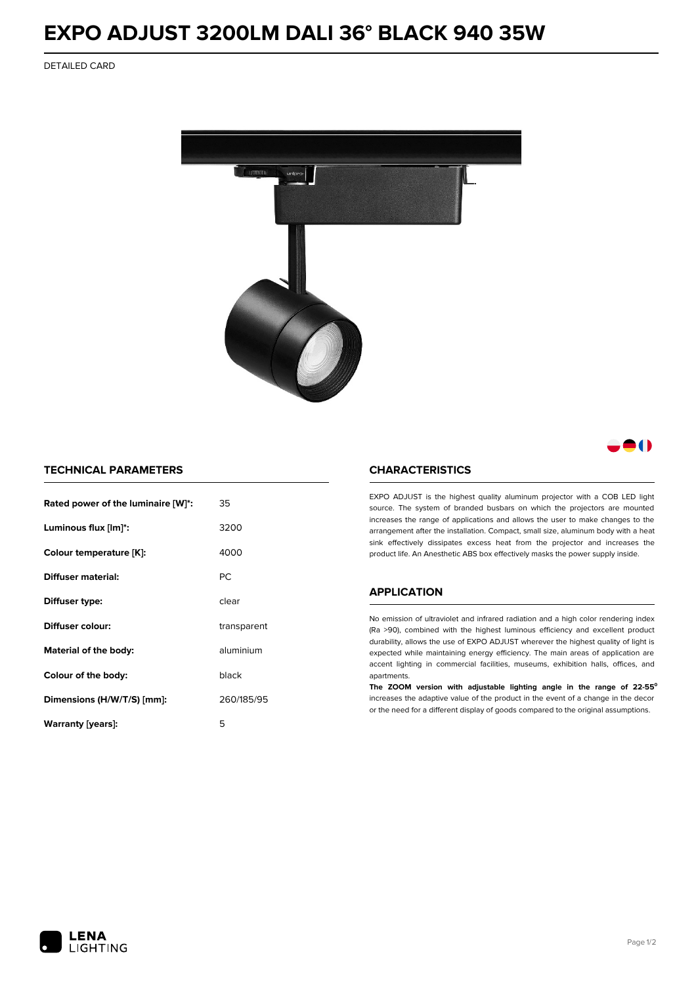# **EXPO ADJUST 3200LM DALI 36° BLACK 940 35W**

DETAILED CARD



# 80

## **TECHNICAL PARAMETERS**

| Rated power of the luminaire [W]*: | 35          |  |
|------------------------------------|-------------|--|
| Luminous flux [lm]*:               | 3200        |  |
| Colour temperature [K]:            | 4000        |  |
| <b>Diffuser material:</b>          | РC          |  |
| Diffuser type:                     | clear       |  |
| Diffuser colour:                   | transparent |  |
| Material of the body:              | aluminium   |  |
| Colour of the body:                | black       |  |
| Dimensions (H/W/T/S) [mm]:         | 260/185/95  |  |
| Warranty (years):                  | 5           |  |

#### **CHARACTERISTICS**

EXPO ADJUST is the highest quality aluminum projector with a COB LED light source. The system of branded busbars on which the projectors are mounted increases the range of applications and allows the user to make changes to the arrangement after the installation. Compact, small size, aluminum body with a heat sink effectively dissipates excess heat from the projector and increases the product life. An Anesthetic ABS box effectively masks the power supply inside.

### **APPLICATION**

No emission of ultraviolet and infrared radiation and a high color rendering index (Ra >90), combined with the highest luminous efficiency and excellent product durability, allows the use of EXPO ADJUST wherever the highest quality of light is expected while maintaining energy efficiency. The main areas of application are accent lighting in commercial facilities, museums, exhibition halls, offices, and apartments.

**The ZOOM version with adjustable lighting angle in the range of 22-55⁰** increases the adaptive value of the product in the event of a change in the decor or the need for a different display of goods compared to the original assumptions.